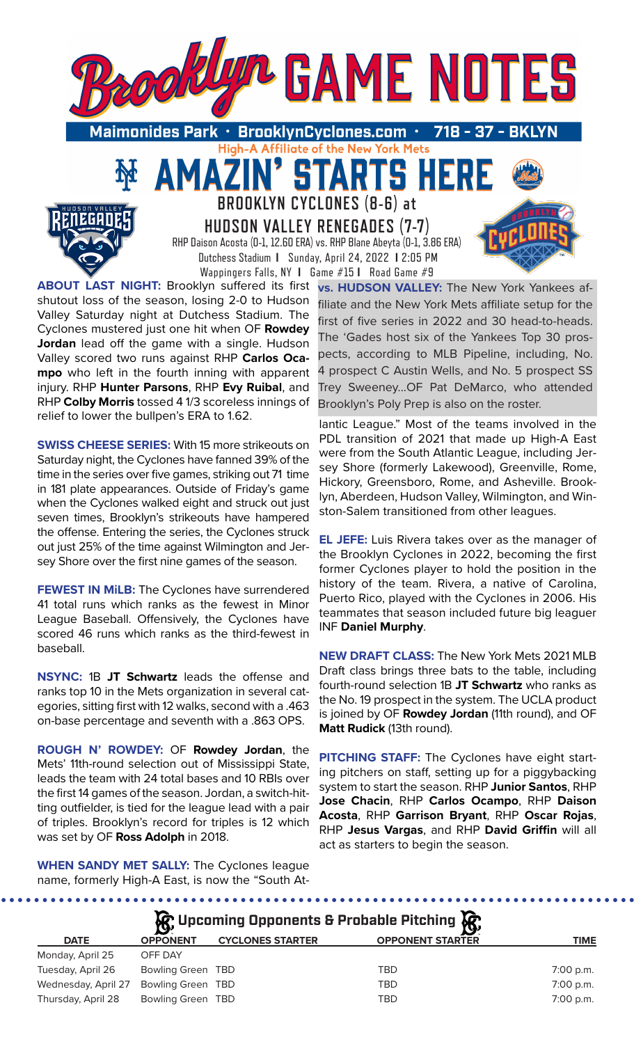

High-A Affiliate of the New York Mets

**TARTS** 

**BROOKLYN CYCLONES (8-6) at** 

51

**HUDSON VALLEY RENEGADES (7-7)** RHP Daison Acosta (0-1, 12.60 ERA) vs. RHP Blane Abeyta (0-1, 3.86 ERA)

 Dutchess Stadium **I** Sunday, April 24, 2022 **I** 2:05 PM Wappingers Falls, NY **I** Game #15 **I** Road Game #9 **ABOUT LAST NIGHT:** Brooklyn suffered its first shutout loss of the season, losing 2-0 to Hudson Valley Saturday night at Dutchess Stadium. The Cyclones mustered just one hit when OF **Rowdey Jordan** lead off the game with a single. Hudson Valley scored two runs against RHP **Carlos Ocampo** who left in the fourth inning with apparent injury. RHP **Hunter Parsons**, RHP **Evy Ruibal**, and RHP **Colby Morris** tossed 4 1/3 scoreless innings of

**SWISS CHEESE SERIES:** With 15 more strikeouts on Saturday night, the Cyclones have fanned 39% of the time in the series over five games, striking out 71 time in 181 plate appearances. Outside of Friday's game when the Cyclones walked eight and struck out just seven times, Brooklyn's strikeouts have hampered the offense. Entering the series, the Cyclones struck out just 25% of the time against Wilmington and Jersey Shore over the first nine games of the season.

relief to lower the bullpen's ERA to 1.62.

**FEWEST IN MiLB:** The Cyclones have surrendered 41 total runs which ranks as the fewest in Minor League Baseball. Offensively, the Cyclones have scored 46 runs which ranks as the third-fewest in baseball.

**NSYNC:** 1B **JT Schwartz** leads the offense and ranks top 10 in the Mets organization in several categories, sitting first with 12 walks, second with a .463 on-base percentage and seventh with a .863 OPS.

**ROUGH N' ROWDEY:** OF **Rowdey Jordan**, the Mets' 11th-round selection out of Mississippi State, leads the team with 24 total bases and 10 RBIs over the first 14 games of the season. Jordan, a switch-hitting outfielder, is tied for the league lead with a pair of triples. Brooklyn's record for triples is 12 which was set by OF **Ross Adolph** in 2018.

**vs. HUDSON VALLEY:** The New York Yankees affiliate and the New York Mets affiliate setup for the first of five series in 2022 and 30 head-to-heads. The 'Gades host six of the Yankees Top 30 prospects, according to MLB Pipeline, including, No. 4 prospect C Austin Wells, and No. 5 prospect SS Trey Sweeney...OF Pat DeMarco, who attended Brooklyn's Poly Prep is also on the roster.

lantic League." Most of the teams involved in the PDL transition of 2021 that made up High-A East were from the South Atlantic League, including Jersey Shore (formerly Lakewood), Greenville, Rome, Hickory, Greensboro, Rome, and Asheville. Brooklyn, Aberdeen, Hudson Valley, Wilmington, and Winston-Salem transitioned from other leagues.

**EL JEFE:** Luis Rivera takes over as the manager of the Brooklyn Cyclones in 2022, becoming the first former Cyclones player to hold the position in the history of the team. Rivera, a native of Carolina, Puerto Rico, played with the Cyclones in 2006. His teammates that season included future big leaguer INF **Daniel Murphy**.

**NEW DRAFT CLASS:** The New York Mets 2021 MLB Draft class brings three bats to the table, including fourth-round selection 1B **JT Schwartz** who ranks as the No. 19 prospect in the system. The UCLA product is joined by OF **Rowdey Jordan** (11th round), and OF **Matt Rudick** (13th round).

**PITCHING STAFF:** The Cyclones have eight starting pitchers on staff, setting up for a piggybacking system to start the season. RHP **Junior Santos**, RHP **Jose Chacin**, RHP **Carlos Ocampo**, RHP **Daison Acosta**, RHP **Garrison Bryant**, RHP **Oscar Rojas**, RHP **Jesus Vargas**, and RHP **David Griffin** will all act as starters to begin the season.

**WHEN SANDY MET SALLY:** The Cyclones league name, formerly High-A East, is now the "South At-

| <b>G</b> Upcoming Opponents & Probable Pitching <b>G</b> |                   |                         |                         |             |  |  |  |  |
|----------------------------------------------------------|-------------------|-------------------------|-------------------------|-------------|--|--|--|--|
| <b>DATE</b>                                              | <b>OPPONENT</b>   | <b>CYCLONES STARTER</b> | <b>OPPONENT STARTER</b> | <b>TIME</b> |  |  |  |  |
| Monday, April 25                                         | OFF DAY           |                         |                         |             |  |  |  |  |
| Tuesday, April 26                                        | Bowling Green TBD |                         | <b>TBD</b>              | 7:00 p.m.   |  |  |  |  |
| Wednesday, April 27                                      | Bowling Green TBD |                         | <b>TBD</b>              | 7:00 p.m.   |  |  |  |  |
| Thursday, April 28                                       | Bowling Green TBD |                         | <b>TBD</b>              | 7:00 p.m.   |  |  |  |  |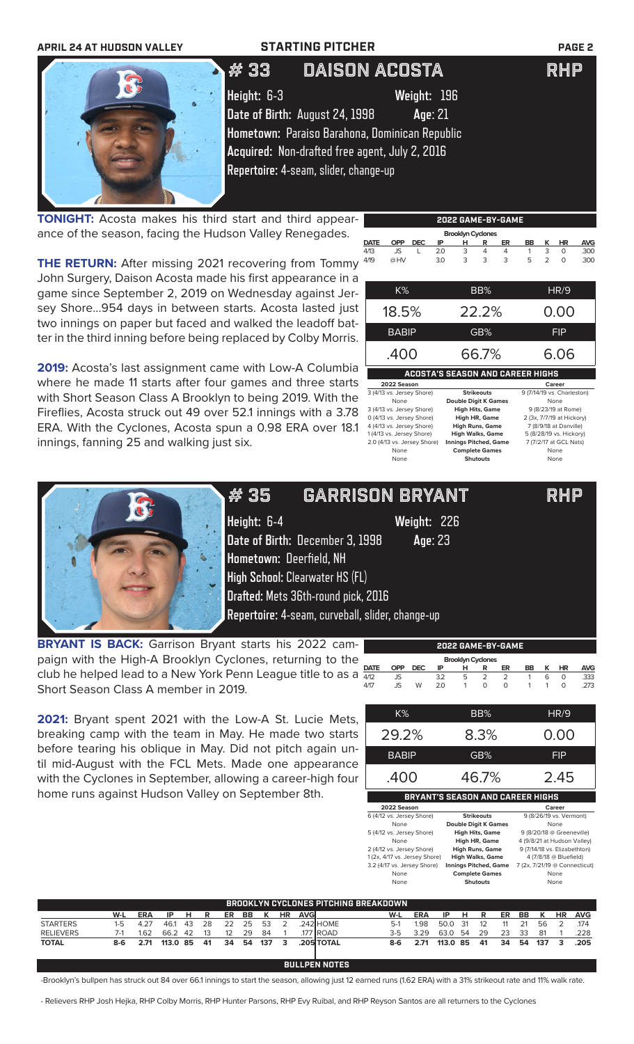| <b>APRIL 24 AT HUDSON VALLEY</b> |             | <b>STARTING PITCHER</b>                                                                                                                                                                               | <b>PAGE 2</b> |
|----------------------------------|-------------|-------------------------------------------------------------------------------------------------------------------------------------------------------------------------------------------------------|---------------|
|                                  | ,# 33       | <b>DAISON ACOSTA</b>                                                                                                                                                                                  | <b>RHP</b>    |
|                                  | Height: 6-3 | Weight: 196<br>Date of Birth: August 24, 1998<br>Age: 21<br>Hometown: Paraiso Barahona, Dominican Republic<br>Acquired: Non-drafted free agent, July 2, 2016<br>Repertoire: 4-seam, slider, change-up |               |

**TONIGHT:** Acosta makes his third start and third appearance of the season, facing the Hudson Valley Renegades.

**THE RETURN:** After missing 2021 recovering from Tommy John Surgery, Daison Acosta made his first appearance in a game since September 2, 2019 on Wednesday against Jersey Shore...954 days in between starts. Acosta lasted just two innings on paper but faced and walked the leadoff batter in the third inning before being replaced by Colby Morris.

**2019:** Acosta's last assignment came with Low-A Columbia where he made 11 starts after four games and three starts with Short Season Class A Brooklyn to being 2019. With the Fireflies, Acosta struck out 49 over 52.1 innings with a 3.78 ERA. With the Cyclones, Acosta spun a 0.98 ERA over 18.1 innings, fanning 25 and walking just six.

|                                         | <b>Brooklyn Cyclones</b>  |            |     |       |                   |    |           |                |                            |            |  |  |
|-----------------------------------------|---------------------------|------------|-----|-------|-------------------|----|-----------|----------------|----------------------------|------------|--|--|
| <b>DATE</b>                             | <b>OPP</b>                | <b>DEC</b> | ΙP  | н     | R                 | ER | <b>BB</b> | ĸ              | ΗR                         | <b>AVG</b> |  |  |
| 4/13                                    | JS.                       | L          | 2.0 | 3     | 4                 | 4  | 1         | 3              | 0                          | .300       |  |  |
| 4/19                                    | @HV                       |            | 3.0 | 3     | 3                 | 3  | 5         | $\overline{2}$ | $\Omega$                   | .300       |  |  |
|                                         |                           |            |     |       |                   |    |           |                |                            |            |  |  |
|                                         | $K\%$                     |            |     |       | BB%               |    |           |                | HR/9                       |            |  |  |
|                                         | 18.5%                     |            |     | 22.2% |                   |    |           | 0.00           |                            |            |  |  |
|                                         |                           |            |     |       |                   |    |           |                |                            |            |  |  |
|                                         | <b>BABIP</b>              |            |     |       | GB%               |    |           |                | <b>FIP</b>                 |            |  |  |
|                                         | .400                      |            |     | 66.7% |                   |    | 6.06      |                |                            |            |  |  |
| <b>ACOSTA'S SEASON AND CAREER HIGHS</b> |                           |            |     |       |                   |    |           |                |                            |            |  |  |
|                                         | 2022 Season               |            |     |       |                   |    |           |                | Career                     |            |  |  |
|                                         | 3 (4/13 vs. Jersey Shore) |            |     |       | <b>Strikeouts</b> |    |           |                | 9 (7/14/19 vs. Charleston) |            |  |  |

**2022 GAME-BY-GAME**

0 (4/13 vs. Jersey Shore) **High HR, Game** 2 (3x, 7/7/19 at Hickory)

# 35 GARRISON BRYANT RHP

None **Double Digit K Games** None<br>3 (4/13 vs. Jersey Shore) **High Hits. Game** 9 (8/23/19 at 3 (4/13 vs. Jersey Shore) **High Hits, Game** 9 (8/23/19 at Rome) 4 (4/13 vs. Jersey Shore) **High Runs, Game** 7 (8/9/18 at Danville)<br>1 (4/13 vs. Jersey Shore) **High Walks, Game** 5 (8/28/19 vs. Hickory)<br>2.0 (4/13 vs. Jersey Shore) **Innings Pitched, Game** 7 (7/2/17 at GCL Nats) 1 (4/13 vs. Jersey Shore) **High Walks, Game** 5 (8/28/19 vs. Hickory) 2.0 (4/13 vs. Jersey Shore) Innings Pitched, Game 7 (7/2/17 at GCL Nats) None **Complete Games** None<br> **Complete Games** None **Shutouts** None None **Shutouts** None



**Height:** 6-4 **Weight:** 226 **Date of Birth:** December 3, 1998 **Age**: 23 **Hometown:** Deerfield, NH **High School:** Clearwater HS (FL) **Drafted:** Mets 36th-round pick, 2016 **Repertoire:** 4-seam, curveball, slider, change-up

**BRYANT IS BACK:** Garrison Bryant starts his 2022 campaign with the High-A Brooklyn Cyclones, returning to the paign with the highly brooklyn by sighted, retaining to the parts club he helped lead to a New York Penn League title to as a  $\frac{\text{part}}{4/2}$ Short Season Class A member in 2019. **DATE OPP DEC IP H R ER BB K HR AVG** 4/12 JS 3.2 5 2 2 1 6 0 .333 4/17 JS W 2.0 1 0 0 1 1 0 .273

**2021:** Bryant spent 2021 with the Low-A St. Lucie Mets, breaking camp with the team in May. He made two starts before tearing his oblique in May. Did not pitch again until mid-August with the FCL Mets. Made one appearance with the Cyclones in September, allowing a career-high four home runs against Hudson Valley on September 8th.

| K%                            | BB%                                      | HR/9                                          |
|-------------------------------|------------------------------------------|-----------------------------------------------|
| 29.2%                         | 8.3%                                     | 0.00                                          |
| <b>BABIP</b>                  | GB%                                      | FIP                                           |
| .400                          | 46.7%                                    | 2.45                                          |
|                               | <b>BRYANT'S SEASON AND CAREER HIGHS</b>  |                                               |
| 2022 Season                   |                                          | Career                                        |
| 6 (4/12 vs. Jersey Shore)     | <b>Strikeouts</b>                        | 9 (8/26/19 vs. Vermont)                       |
| None                          | <b>Double Digit K Games</b>              | None                                          |
| 5 (4/12 vs. Jersey Shore)     | <b>High Hits, Game</b>                   | 9 (8/20/18 @ Greeneville)                     |
|                               |                                          |                                               |
| None                          | High HR, Game                            | 4 (9/8/21 at Hudson Valley)                   |
| 2 (4/12 vs. Jersey Shore)     | <b>High Runs, Game</b>                   | 9 (7/14/18 vs. Elizabethton)                  |
| 1 (2x, 4/17 vs. Jersey Shore) | <b>High Walks, Game</b>                  | 4 (7/8/18 @ Bluefield)                        |
| 3.2 (4/17 vs. Jersey Shore)   | Innings Pitched, Game                    |                                               |
| None<br>None                  | <b>Complete Games</b><br><b>Shutouts</b> | 7 (2x, 7/21/19 @ Connecticut)<br>None<br>None |

**2022 GAME-BY-GAME**

**Brooklyn Cyclone** 

| ' BROOKLYN CYCLONES PITCHING BREAKDOWN . |     |            |          |     |    |    |    |     |           |            |                  |       |            |          |     |     |    |    |     |           |            |
|------------------------------------------|-----|------------|----------|-----|----|----|----|-----|-----------|------------|------------------|-------|------------|----------|-----|-----|----|----|-----|-----------|------------|
|                                          | W-L | <b>ERA</b> | IP       | н   | -R | ER | BB | K   | <b>HR</b> | <b>AVG</b> |                  | W-L   | <b>ERA</b> | IP       | н   | R   | ER | BB | . к | <b>HR</b> | <b>AVG</b> |
| <b>STARTERS</b>                          | 1-5 | 4.27       | 46.1     | -43 | 28 | 22 | 25 | 53  |           |            | .242 HOME        | $5-1$ | 198        | 50.0     | -31 |     |    | 21 | 56  |           | .174       |
| <b>RELIEVERS</b>                         |     | 1.62       | 66.2     | -42 | 13 | 12 | 29 | 84  |           |            | .177 ROAD        | 3-5   | 3.29       | 63.0     | 54  | 29  | 23 | 33 | -81 |           | .228       |
| <b>TOTAL</b>                             | 8-6 | 2.71       | 113.0 85 |     | 41 | 34 | 54 | 137 | 3         |            | <b>205 TOTAL</b> | 8-6   | 2.71       | 113.0 85 |     | -41 | 34 | 54 | 137 | 3         | .205       |
|                                          |     |            |          |     |    |    |    |     |           |            |                  |       |            |          |     |     |    |    |     |           |            |

**BULLPEN NOTES**

-Brooklyn's bullpen has struck out 84 over 66.1 innings to start the season, allowing just 12 earned runs (1.62 ERA) with a 31% strikeout rate and 11% walk rate.

- Relievers RHP Josh Hejka, RHP Colby Morris, RHP Hunter Parsons, RHP Evy Ruibal, and RHP Reyson Santos are all returners to the Cyclones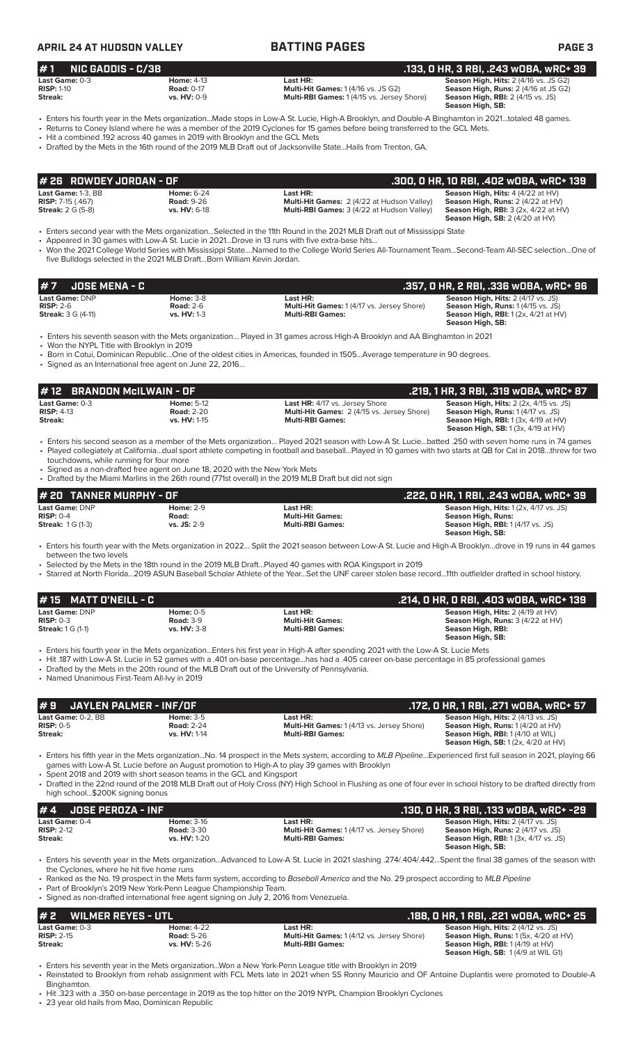### **APRIL 24 AT HUDSON VALLEY BATTING PAGES PAGE 3 # 7 JOSE MENA - C .357, 0 HR, 2 RBI, .336 wOBA, wRC+ 96 Last Game:** DNP **Home:** 3-8 **Last HR: Season High, Hits:** 2 (4/17 vs. JS) **RISP:** 2-6 **Road:** 2-6 **Road: 2-6 Multi-Hit Games:** 1 (4/17 vs. Jersey Shore) **Streak:** 3 G (4-11) **vs. HV:** 1-3 **Multi-RBI Games:** 1 **Season High, Runs: 2 (4/15 vs. 33)**<br>**Season High, Runs: 1 (4/15 vs. 35)**<br>**Season High, RBI:** 1 (2x, 4/21 at HV) **Season High, SB:**  • Enters his seventh season with the Mets organization… Played in 31 games across High-A Brooklyn and AA Binghamton in 2021 • Won the NYPL Title with Brooklyn in 2019 • Born in Cotui, Dominican Republic…One of the oldest cities in Americas, founded in 1505…Average temperature in 90 degrees. • Signed as an International free agent on June 22, 2016… **Last Game: DNP Home: 2-9 Last HR: Last HR: Season High, Hits:** 1 (2x, 4/17 vs. JS)<br> **RISP:** 0-4 **Righ, Runs: Road: Righ, Runs: Righ, Runs: RISP:** 0-4 **Righ, Runs: Righ, Runs: Righ, Runs: Righ, Runs: RISP:** 0-4 **Road: Multi-Hit Games: Season High, Runs: Season High, RBI:** 1 (4/17 vs. JS) **Season High, SB:**  • Enters his fourth year with the Mets organization in 2022… Split the 2021 season between Low-A St. Lucie and High-A Brooklyn…drove in 19 runs in 44 games between the two levels • Selected by the Mets in the 18th round in the 2019 MLB Draft…Played 40 games with ROA Kingsport in 2019 • Starred at North Florida…2019 ASUN Baseball Scholar Athlete of the Year…Set the UNF career stolen base record…11th outfielder drafted in school history. **# 20 TANNER MURPHY - OF .222, 0 HR, 1 RBI, .243 wOBA, wRC+ 39 # 1 NIC GADDIS - C/3B .133, 0 HR, 3 RBI, .243 wOBA, wRC+ 39 Last Game:** 0-3 **Home:** 4-13 **Last HR: Season High, Hits:** 2 (4/16 vs. JS G2) **Season High, Hits:** 2 (4/16 vs. JS G2) **Season High, Hits:** 2 (4/16 vs. JS G2) **RISP:** 1-10 **Road:** 0-17 **Multi-Hit Games:** 1 (4/16 vs. JS G2) **Season High, Runs:** 2 (4/16 at JS G2) **Multi-RBI Games: 1 (4/15 vs. Jersey Shore) Season High, SB:**  • Enters his fourth year in the Mets organization...Made stops in Low-A St. Lucie, High-A Brooklyn, and Double-A Binghamton in 2021…totaled 48 games. • Returns to Coney Island where he was a member of the 2019 Cyclones for 15 games before being transferred to the GCL Mets. • Hit a combined .192 across 40 games in 2019 with Brooklyn and the GCL Mets • Drafted by the Mets in the 16th round of the 2019 MLB Draft out of Jacksonville State...Hails from Trenton, GA. **Last Game:** 1-3, BB **Home:** 6-24 **Last HR: Season High, Hits:** 4 (4/22 at HV) **RISP:** 7-15 (.467) **Road:** 9-26 **Multi-Hit Games:** 2 (4/22 at Hudson Valley) **Season High, Runs:** 2 (4/22 at HV) **Streak:** 2 G (5-8) **vs. HV:** 6-18 **Multi-RBI Games:** 3 (4/22 at Hudson Valley) **Season High, RBI:** 3 (2x, 4/22 at HV) **Season High, SB:** 2 (4/20 at HV) • Enters second year with the Mets organization…Selected in the 11th Round in the 2021 MLB Draft out of Mississippi State • Appeared in 30 games with Low-A St. Lucie in 2021…Drove in 13 runs with five extra-base hits… • Won the 2021 College World Series with Mississippi State….Named to the College World Series All-Tournament Team…Second-Team All-SEC selection…One of five Bulldogs selected in the 2021 MLB Draft…Born William Kevin Jordan. **# 26 ROWDEY JORDAN - OF .300, 0 HR, 10 RBI, .402 wOBA, wRC+ 139 Last Game:** 0-3 **Home:** 5-12 **Last HR:** 4/17 vs. Jersey Shore **Season High, Hits:** 2 (2x, 4/15 vs. JS) **RISP:** 4-13 **Road:** 2-20 **Multi-Hit Games:** 2 (4/15 vs. Jersey Shore) **Season High, Runs:** 1 (4/17 vs. JS) AND THIS MULTIMATE COULD LATE MAIN THE CHINESE (THIS OF SEASON HIGH, RBI: 1 (3x, 4/19 at HV)<br> **Streak: Season High, RBI:** 1 (3x, 4/19 at HV)<br>**Season High, SB:** 1 (3x, 4/19 at HV) **Season High, SB:** 1 (3x, 4/19 at HV) • Enters his second season as a member of the Mets organization… Played 2021 season with Low-A St. Lucie…batted .250 with seven home runs in 74 games • Played collegiately at California…dual sport athlete competing in football and baseball…Played in 10 games with two starts at QB for Cal in 2018…threw for two touchdowns, while running for four more Signed as a non-drafted free agent on June 18, 2020 with the New York Mets • Drafted by the Miami Marlins in the 26th round (771st overall) in the 2019 MLB Draft but did not sign **# 12 BRANDON McILWAIN - OF**<br> **1219, 1 HR, 3 RBI, .319 wOBA, wRC+ 87**<br> **1219, 1 HR, 3 RBI, .319 wOBA, wRC+ 87**<br> **1219, 1 HR, 3 RBI, .319 wOBA, wRC+ 87**<br> **1219, 1 HR, 3 RBI, .319 wOBA, wRC+ 87**<br> **1219, 1 HR, 3 RBI, .319 wOB Last Game:** DNP **Home:** 0-5 **Last HR: Season High, Hits:** 2 (4/19 at HV) **RISP:** 0-3 **Road:** 3-9 **Multi-Hit Games: Season High, Runs:** 3 (4/22 at HV) **Streak:** 1 G (1-1) **vs. HV:** 3-8 **Multi-RBI Games: Season High, RBI: Season High, SB:**  • Enters his fourth year in the Mets organization...Enters his first year in High-A after spending 2021 with the Low-A St. Lucie Mets • Hit .187 with Low-A St. Lucie in 52 games with a .401 on-base percentage...has had a .405 career on-base percentage in 85 professional games • Drafted by the Mets in the 20th round of the MLB Draft out of the University of Pennsylvania. • Named Unanimous First-Team All-Ivy in 2019 **# 15 MATT O'NEILL - C .214, 0 HR, 0 RBI, .403 wOBA, wRC+ 139 # 9 JAYLEN PALMER - INF/OF .172, 0 HR, 1 RBI, .271 wOBA, wRC+ 57 Last Game:** 0-2, BB **Home: 3-5 Last HR: Cames: 1 (4/13 vs. JS) Season High, Hits:** 2 (4/13 vs. JS)<br>**RISP:** 0-5 **Season High, Rus:** 1 (4/20 at HV **RISP:** 0-5 **Road:** 2-24 **Multi-Hit Games:** 1 (4/13 vs. Jersey Shore) **Season High, Runs:** 1 (4/20 at HV) **Season High, Runs: 1 (4/20 at HV)**<br>**Season High, Runs: 1 (4/20 at HV)**<br>**Season High, RBI: 1 (4/10 at WIL) Season High, SB:** 1 (2x, 4/20 at HV) • Enters his fifth year in the Mets organization...No. 14 prospect in the Mets system, according to *MLB Pipeline*...Experienced first full season in 2021, playing 66 games with Low-A St. Lucie before an August promotion to High-A to play 39 games with Brooklyn • Spent 2018 and 2019 with short season teams in the GCL and Kingsport • Drafted in the 22nd round of the 2018 MLB Draft out of Holy Cross (NY) High School in Flushing as one of four ever in school history to be drafted directly from high school...\$200K signing bonus **# 4 JOSE PEROZA - INF .130, 0 HR, 3 RBI, .133 wOBA, wRC+ -29 Last Game:** 0-4 **Home:** 3-16 **Last HR: Season High, Hits:** 2 (4/17 vs. JS) **RISP:** 2-12 **Road:** 3-30 **Multi-Hit Games:** 1 (4/17 vs. Jersey Shore) **Season High, Runs:** 2 (4/17 vs. JS) Exterior **Callistics** of the contract of the contract of the contract of the contract of the contract of the contract of the contract of the contract of the contract of the contract of the contract of the contract of the c **Season High, SB:**  • Enters his seventh year in the Mets organization...Advanced to Low-A St. Lucie in 2021 slashing .274/.404/.442…Spent the final 38 games of the season with the Cyclones, where he hit five home runs • Ranked as the No. 19 prospect in the Mets farm system, according to *Baseball America* and the No. 29 prospect according to *MLB Pipeline* Part of Brooklyn's 2019 New York-Penn League Championship Team. • Signed as non-drafted international free agent signing on July 2, 2016 from Venezuela. **# 2 WILMER REYES - UTL .188, 0 HR, 1 RBI, .221 wOBA, wRC+ 25 Last Game:** 0-3 **Home:** 4-22 **Last HR: Season High, Hits:** 2 (4/12 vs. JS)<br>**RISP:** 2-15 **Righter and Band:** 5-26 **Multi-Hit Games:** 1 (4/12 vs. Jersey Shore) **Season High, Runs:** 1 (5x, 4/20 at HV) **RISP:** 2-15 **Road:** 5-26 **Road:** 5-26 **Multi-Hit Games:** 1 (4/12 vs. Jersey Shore) **Read:** 5-26 **Multi-RBI Games:** 1 (4/12 vs. Jersey Shore) **Season High, RBI:** 1 (4/19 at HV) **Season High, SB:** 1 (4/9 at WIL G1) • Enters his seventh year in the Mets organization...Won a New York-Penn League title with Brooklyn in 2019 • Reinstated to Brooklyn from rehab assignment with FCL Mets late in 2021 when SS Ronny Mauricio and OF Antoine Duplantis were promoted to Double-A Binghamton. • Hit .323 with a .350 on-base percentage in 2019 as the top hitter on the 2019 NYPL Champion Brooklyn Cyclones

23 year old hails from Mao, Dominican Republic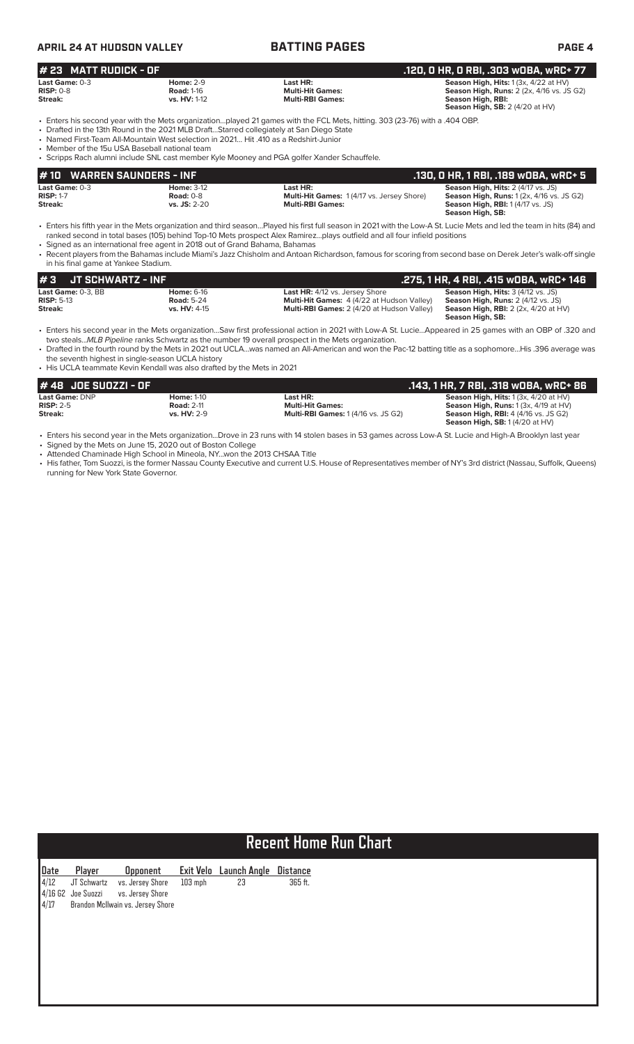| <b>APRIL 24 AT HUDSON VALLEY</b>               |                                                                                                                                                                                  | <b>BATTING PAGES</b>                                                                                                                                                                                                       | <b>PAGE 4</b>                                                                                                                                            |
|------------------------------------------------|----------------------------------------------------------------------------------------------------------------------------------------------------------------------------------|----------------------------------------------------------------------------------------------------------------------------------------------------------------------------------------------------------------------------|----------------------------------------------------------------------------------------------------------------------------------------------------------|
| # 23 MATT RUDICK - OF                          |                                                                                                                                                                                  |                                                                                                                                                                                                                            | .120, 0 HR, 0 RBI, .303 w0BA, wRC+ 77                                                                                                                    |
| Last Game: $0-3$<br>$RISP: 0-8$<br>Streak:     | <b>Home: 2-9</b><br><b>Road: 1-16</b><br>vs. HV: 1-12                                                                                                                            | Last HR:<br><b>Multi-Hit Games:</b><br><b>Multi-RBI Games:</b>                                                                                                                                                             | Season High, Hits: 1 (3x, 4/22 at HV)<br><b>Season High, Runs: 2 (2x, 4/16 vs. JS G2)</b><br>Season High, RBI:<br><b>Season High, SB: 2 (4/20 at HV)</b> |
| • Member of the 15u USA Baseball national team | • Drafted in the 13th Round in the 2021 MLB DraftStarred collegiately at San Diego State<br>• Named First-Team All-Mountain West selection in 2021 Hit .410 as a Redshirt-Junior | • Enters his second year with the Mets organizationplayed 21 games with the FCL Mets, hitting, 303 (23-76) with a .404 OBP.<br>• Scripps Rach alumni include SNL cast member Kyle Mooney and PGA golfer Xander Schauffele. |                                                                                                                                                          |
| 440 WADDEN CAUNDEDS                            | ---                                                                                                                                                                              |                                                                                                                                                                                                                            | 100.010.101.10000100                                                                                                                                     |

**Last Game:** 0-3 **Home:** 3-12 **Last HR: Last HR: Season High, Hits:** 2 (4/17 vs. JS)<br>**RISP:** 1-7 **Season High, Hits:** 2 (4/17 vs. Jersev Shore) **Season High, Rius:** 1 (2x. 4/16 vs **RISP: RIGHT CONSTRIGHT CONSTRUSTED REG.**<br> **RISP:** 1-7 **Road:** 0-8 **Multi-RBI Games:** 1 (4/17 vs. Jersey Shore) **Streak: Streak: Streak: Streak: Streak: Streak: Streak: Streak: Streak: Streak: Streak: Streak: vs. JS:** 2-20 **Multi-RBI Games: Season High, RBI:** 1 (4/17 vs. JS) **Season High, SB: # 10 WARREN SAUNDERS - INF .130, 0 HR, 1 RBI, .189 wOBA, wRC+ 5**

• Enters his fifth year in the Mets organization and third season…Played his first full season in 2021 with the Low-A St. Lucie Mets and led the team in hits (84) and ranked second in total bases (105) behind Top-10 Mets prospect Alex Ramirez…plays outfield and all four infield positions

• Signed as an international free agent in 2018 out of Grand Bahama, Bahamas • Recent players from the Bahamas include Miami's Jazz Chisholm and Antoan Richardson, famous for scoring from second base on Derek Jeter's walk-off single in his final game at Yankee Stadium.

| I#3                     | . JT SCHWARTZ - INF ' |                                                         |                                                                                                                                                 | .275, 1 HR, 4 RBI, .415 wOBA, wRC+ 146                                                                                                                        |
|-------------------------|-----------------------|---------------------------------------------------------|-------------------------------------------------------------------------------------------------------------------------------------------------|---------------------------------------------------------------------------------------------------------------------------------------------------------------|
| $RISP: 5-13$<br>Streak: | Last Game: 0-3, BB    | <b>Home:</b> 6-16<br><b>Road: 5-24</b><br>$vs. H. 4-15$ | <b>Last HR:</b> 4/12 vs. Jersey Shore<br><b>Multi-Hit Games:</b> 4 (4/22 at Hudson Valley)<br><b>Multi-RBI Games:</b> 2 (4/20 at Hudson Valley) | <b>Season High, Hits: 3 (4/12 vs. JS)</b><br><b>Season High, Runs:</b> 2 (4/12 vs. JS)<br><b>Season High, RBI:</b> $2$ (2x, $4/20$ at HV)<br>Season High, SB: |

• Enters his second year in the Mets organization…Saw first professional action in 2021 with Low-A St. Lucie…Appeared in 25 games with an OBP of .320 and two steals...*MLB Pipeline* ranks Schwartz as the number 19 overall prospect in the Mets organization.

• Drafted in the fourth round by the Mets in 2021 out UCLA…was named an All-American and won the Pac-12 batting title as a sophomore…His .396 average was the seventh highest in single-season UCLA history

• His UCLA teammate Kevin Kendall was also drafted by the Mets in 2021

| # 48 JOE SUOZZI - OF  |                   |                                           | .143, 1 HR, 7 RBI, .318 wOBA, wRC+ 86            |
|-----------------------|-------------------|-------------------------------------------|--------------------------------------------------|
| <b>Last Game: DNP</b> | <b>Home: 1-10</b> | Last HR:                                  | <b>Season High, Hits:</b> $1(3x, 4/20$ at $HV$ ) |
| $RISP: 2-5$           | <b>Road: 2-11</b> | <b>Multi-Hit Games:</b>                   | <b>Season High, Runs:</b> $1(3x, 4/19$ at $HV$ ) |
| Streak:               | $vs. HV: 2-9$     | <b>Multi-RBI Games: 1(4/16 vs. JS G2)</b> | <b>Season High, RBI:</b> 4 (4/16 vs. JS G2)      |
|                       |                   |                                           | <b>Season High, SB: 1(4/20 at HV)</b>            |

• Enters his second year in the Mets organization...Drove in 23 runs with 14 stolen bases in 53 games across Low-A St. Lucie and High-A Brooklyn last year

• Signed by the Mets on June 15, 2020 out of Boston College • Attended Chaminade High School in Mineola, NY...won the 2013 CHSAA Title

• His father, Tom Suozzi, is the former Nassau County Executive and current U.S. House of Representatives member of NY's 3rd district (Nassau, Suffolk, Queens) running for New York State Governor.

# **Recent Home Run Chart**

| Date | Player               | <b>Opponent</b>                   |           | Exit Velo Launch Angle | <u>Distance</u> |
|------|----------------------|-----------------------------------|-----------|------------------------|-----------------|
| 4/12 | JT Schwartz          | vs. Jersey Shore                  | $103$ mph | 23                     | 365 ft.         |
|      | $4/16$ G2 Joe Suozzi | vs. Jersey Shore                  |           |                        |                 |
| 4/17 |                      | Brandon McIlwain vs. Jersey Shore |           |                        |                 |
|      |                      |                                   |           |                        |                 |
|      |                      |                                   |           |                        |                 |
|      |                      |                                   |           |                        |                 |
|      |                      |                                   |           |                        |                 |
|      |                      |                                   |           |                        |                 |
|      |                      |                                   |           |                        |                 |
|      |                      |                                   |           |                        |                 |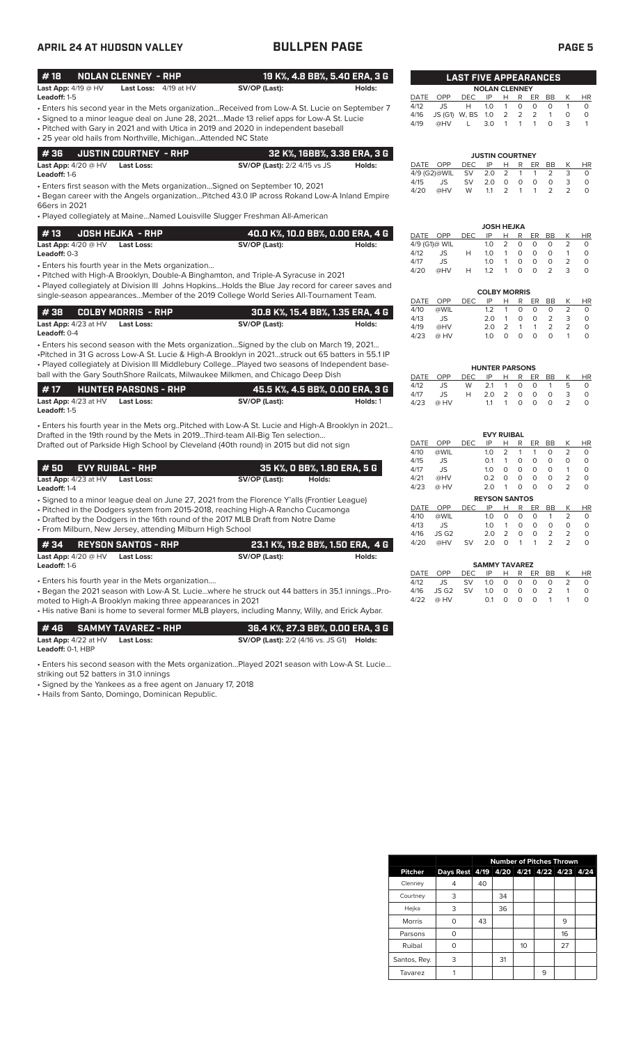# **APRIL 24 AT HUDSON VALLEY BULLPEN PAGE PAGE 5**

| #18                                                                                           | <b>NOLAN CLENNEY - RHP</b>                                     | 19 K%, 4.8 BB%, 5.40 ERA, 3 G                                                           |                                | <b>LAST FIVE APPEARANCES</b> |                |           |                        |               |          |               |           |          |           |  |  |
|-----------------------------------------------------------------------------------------------|----------------------------------------------------------------|-----------------------------------------------------------------------------------------|--------------------------------|------------------------------|----------------|-----------|------------------------|---------------|----------|---------------|-----------|----------|-----------|--|--|
| <b>Last App:</b> $4/19 @ HV$                                                                  | 4/19 at HV<br>Last Loss:                                       | SV/OP (Last):                                                                           | Holds:<br><b>NOLAN CLENNEY</b> |                              |                |           |                        |               |          |               |           |          |           |  |  |
| Leadoff: 1-5                                                                                  |                                                                |                                                                                         |                                | DATE                         | OPP            | DEC.      | IP                     | H.            | R        | ER.           | <b>BB</b> |          | <b>HR</b> |  |  |
| • Enters his second year in the Mets organizationReceived from Low-A St. Lucie on September 7 |                                                                | 4/12                                                                                    | .IS                            | н                            | 1 <sub>O</sub> |           | $\Omega$               | $\Omega$      | $\Omega$ |               | $\Omega$  |          |           |  |  |
|                                                                                               |                                                                | • Signed to a minor league deal on June 28, 2021Made 13 relief apps for Low-A St. Lucie |                                | 4/16                         | JS (G1) W. BS  |           | 1.0                    | 2             | 2        | $\mathcal{P}$ |           | $\Omega$ | $\Omega$  |  |  |
| • Pitched with Gary in 2021 and with Utica in 2019 and 2020 in independent baseball           |                                                                | 4/19                                                                                    | @HV                            |                              | 3.0            |           |                        |               | 0        | 3             |           |          |           |  |  |
|                                                                                               | • 25 year old hails from Northville, MichiganAttended NC State |                                                                                         |                                |                              |                |           |                        |               |          |               |           |          |           |  |  |
|                                                                                               |                                                                |                                                                                         |                                |                              |                |           |                        |               |          |               |           |          |           |  |  |
| #36                                                                                           | <b>JUSTIN COURTNEY - RHP</b>                                   | 32 K%, 16BB%, 3.38 ERA, 3 G                                                             |                                |                              |                |           | <b>JUSTIN COURTNEY</b> |               |          |               |           |          |           |  |  |
| Last App: $4/20 \ @$ HV                                                                       | Last Loss:                                                     | <b>SV/OP (Last):</b> 2/2 4/15 vs JS                                                     | Holds:                         | DATE                         | OPP            | DEC.      | IP                     | н             | R        | ER            | <b>BB</b> |          | <b>HR</b> |  |  |
| Leadoff: 1-6                                                                                  |                                                                |                                                                                         |                                |                              | 4/9 (G2)@WIL   | .SV       | 20                     | $\mathcal{P}$ |          |               |           | 3        | $\Omega$  |  |  |
|                                                                                               |                                                                | . Enters first season with the Mets organization Signed on September 10 2021            |                                | 4/15                         | JS             | <b>SV</b> | 2 O                    | <sup>n</sup>  | $\Omega$ | $\Omega$      | $\cap$    | 3        | $\Omega$  |  |  |

• Enters first season with the Mets organization…Signed on September 10, 2021

• Began career with the Angels organization…Pitched 43.0 IP across Rokand Low-A Inland Empire 66ers in 2021

• Played collegiately at Maine…Named Louisville Slugger Freshman All-American

| l #13                        | . JOSH HEJKA - RHP I | ' 40.0 K%. 10.0 BB%. 0.00 ERA. 4 G |        |
|------------------------------|----------------------|------------------------------------|--------|
| <b>Last App:</b> $4/20$ @ HV | Last Loss:           | SV/OP (Last):                      | Holds: |
| <b>Leadoff:</b> 0-3          |                      |                                    |        |

• Enters his fourth year in the Mets organization…

• Pitched with High-A Brooklyn, Double-A Binghamton, and Triple-A Syracuse in 2021

• Played collegiately at Division III Johns Hopkins…Holds the Blue Jay record for career saves and single-season appearances…Member of the 2019 College World Series All-Tournament Team.

|                                 |            | 30.8 K%. 15.4 BB%. 1.35 ERA. 4 G |        |
|---------------------------------|------------|----------------------------------|--------|
| <b>Last App:</b> $4/23$ at $HV$ | Last Loss: | SV/OP (Last):                    | Holds: |
| <b>Leadoff:</b> $0-4$           |            |                                  |        |

• Enters his second season with the Mets organization…Signed by the club on March 19, 2021… •Pitched in 31 G across Low-A St. Lucie & High-A Brooklyn in 2021…struck out 65 batters in 55.1 IP • Played collegiately at Division III Middlebury College…Played two seasons of Independent baseball with the Gary SouthShore Railcats, Milwaukee Milkmen, and Chicago Deep Dish

| l #17               |                                 | <b>HUNTER PARSONS - RHP</b> |               |          |
|---------------------|---------------------------------|-----------------------------|---------------|----------|
|                     | <b>Last App:</b> $4/23$ at $HV$ | Last Loss:                  | SV/OP (Last): | Holds: 1 |
| <b>Leadoff:</b> 1-5 |                                 |                             |               |          |

• Enters his fourth year in the Mets org..Pitched with Low-A St. Lucie and High-A Brooklyn in 2021… Drafted in the 19th round by the Mets in 2019...Third-team All-Big Ten selection... Drafted out of Parkside High School by Cleveland (40th round) in 2015 but did not sign

|                               | 1 # 50      EVY RUIBAL - RHP |            |               | 35 K%, O BB%, 1.80 ERA, 5 G |
|-------------------------------|------------------------------|------------|---------------|-----------------------------|
| <b>Last App:</b> $4/23$ at HV |                              | Last Loss: | SV/OP (Last): | Holds:                      |

**Leadoff:** 1-4

• Signed to a minor league deal on June 27, 2021 from the Florence Y'alls (Frontier League)

• Pitched in the Dodgers system from 2015-2018, reaching High-A Rancho Cucamonga

• Drafted by the Dodgers in the 16th round of the 2017 MLB Draft from Notre Dame • From Milburn, New Jersey, attending Milburn High School

| #34 REYSON SANTOS - RHP                           |                   |                                                                                              | 23.1 K%, 19.2 BB%, 1.50 ERA, 4 G |
|---------------------------------------------------|-------------------|----------------------------------------------------------------------------------------------|----------------------------------|
| Last App: $4/20$ @ HV<br>Leadoff: 1-6             | <b>Last Loss:</b> | SV/OP (Last):                                                                                | Holds:                           |
| • Enters his fourth year in the Mets organization |                   | Began the 2021 season with Low-A St. Luciewhere he struck out 44 batters in 35.1 inningsPro- |                                  |

moted to High-A Brooklyn making three appearances in 2021

• His native Bani is home to several former MLB players, including Manny, Willy, and Erick Aybar.

|                             | #46 SAMMY TAVAREZ - RHP | 36.4 K%. 27.3 BB%. 0.00 ERA. 3 G                        |  |
|-----------------------------|-------------------------|---------------------------------------------------------|--|
| <b>Last App:</b> 4/22 at HV | Last Loss:              | <b>SV/OP (Last):</b> 2/2 (4/16 vs. JS G1) <b>Holds:</b> |  |
| <b>Leadoff:</b> 0-1. HBP    |                         |                                                         |  |

• Enters his second season with the Mets organization…Played 2021 season with Low-A St. Lucie…

striking out 52 batters in 31.0 innings

• Signed by the Yankees as a free agent on January 17, 2018

• Hails from Santo, Domingo, Dominican Republic.

|          |               |     | <b>JOSH HEJKA</b> |   |   |    |    |   |    |
|----------|---------------|-----|-------------------|---|---|----|----|---|----|
| DATE OPP |               | DEC | IP                | н | R | ER | BB | K | HR |
|          | 4/9 (G1)@ WIL |     | 1.0               | 2 | Ο | Ο  | 0  |   |    |
| 4/12     | JS            | н   | 1.0               | 1 | Ο | O  | 0  |   | O  |
| 4/17     | JS            |     | 1.0               |   | O | O  | O  |   |    |
| 4/20     | @HV           | н   | 12                |   | Ω | Ω  |    | 3 |    |

4/15 JS SV 2.0 0 0 0 0 3 0 4/20 @HV W 1.1 2 1 1 2 2 0

|      |      |      | <b>COLBY MORRIS</b> |               |                   |                   |               |   |    |
|------|------|------|---------------------|---------------|-------------------|-------------------|---------------|---|----|
| DATE | OPP  | DFC. | IP                  | н             | R                 | ER                | <b>BB</b>     |   | HR |
| 4/10 | @WIL |      | 1.2                 |               | O                 | Ο                 | Ο             |   |    |
| 4/13 | JS.  |      | 2 O                 |               | O                 | Ω                 | 2             | 3 | O  |
| 4/19 | @HV  |      | 2 O                 | $\mathcal{P}$ |                   |                   | $\mathcal{P}$ |   |    |
| 4/23 | @ HV |      | 1 $\Omega$          |               | $\mathbf{\Omega}$ | $\mathbf{\Omega}$ | O             |   |    |

|          |      |                  | <b>HUNTER PARSONS</b> |                |           |          |          |               |    |
|----------|------|------------------|-----------------------|----------------|-----------|----------|----------|---------------|----|
| DATE OPP |      | DEC IP H R ER BB |                       |                |           |          |          |               | HR |
| 4/12     | JS.  |                  | W 2.1 1 0 0 1         |                |           |          |          | $\mathcal{F}$ | O  |
| 4/17     | JS.  | H                | 20 2 0 0              |                |           |          | - 0      | 3             | O  |
| 4/23     | @ HV |                  | 11                    | $\overline{1}$ | $\circ$ 0 | $\Omega$ | $\Omega$ |               |    |

|      |       |            | <b>EVY RUIBAL</b>    |                |          |          |                |                |           |
|------|-------|------------|----------------------|----------------|----------|----------|----------------|----------------|-----------|
| DATE | OPP   | <b>DEC</b> | IP                   | н              | R        | ER       | <b>BB</b>      | Κ              | ΗR        |
| 4/10 | @WIL  |            | 1.0                  | $\overline{2}$ | 1        | 1        | O              | $\overline{2}$ | $\Omega$  |
| 4/15 | JS.   |            | 0.1                  | 1              | Ο        | O        | 0              | $\Omega$       | $\Omega$  |
| 4/17 | JS    |            | 1.0                  | O              | Ο        | O        | O              | 1              | $\Omega$  |
| 4/21 | @HV   |            | 0.2                  | O              | O        | O        | O              | $\overline{2}$ | $\Omega$  |
| 4/23 | @ HV  |            | 2.0                  | 1              | 0        | O        | O              | $\overline{2}$ | $\Omega$  |
|      |       |            | <b>REYSON SANTOS</b> |                |          |          |                |                |           |
| DATE | OPP   | DEC        | IP                   | н              | R        | ER       | <b>BB</b>      | K              | <b>HR</b> |
| 4/10 | @WIL  |            | 1.0                  | $\Omega$       | $\Omega$ | 0        | 1              | $\overline{2}$ | $\Omega$  |
| 4/13 | JS    |            | 1.0                  | 1              | $\Omega$ | $\Omega$ | 0              | $\Omega$       | O         |
| 4/16 | JS G2 |            | 2.0                  | $\overline{2}$ | O        | O        | $\overline{2}$ | $\overline{2}$ | O         |
| 4/20 | @HV   | SV         | 2.0                  | O              | 1        | 1        | $\overline{2}$ | $\overline{2}$ | O         |

|                           | <b>SAMMY TAVAREZ</b> |  |      |    |  |
|---------------------------|----------------------|--|------|----|--|
| DATE OPP DECIPH RERBBK HR |                      |  |      |    |  |
| 4/12 JS SV 1.0 0 0 0 0    |                      |  |      | -2 |  |
| 4/16 JSG2 SV 1.0 0 0 0 2  |                      |  |      |    |  |
| 4/22 @ HV                 | 01                   |  | 0001 |    |  |

|                | <b>Number of Pitches Thrown</b> |    |    |    |   |                          |  |  |
|----------------|---------------------------------|----|----|----|---|--------------------------|--|--|
| <b>Pitcher</b> | Days Rest 4/19                  |    |    |    |   | 4/20 4/21 4/22 4/23 4/24 |  |  |
| Clenney        |                                 | 40 |    |    |   |                          |  |  |
| Courtney       | 3                               |    | 34 |    |   |                          |  |  |
| Hejka          | 3                               |    | 36 |    |   |                          |  |  |
| <b>Morris</b>  |                                 | 43 |    |    |   | 9                        |  |  |
| Parsons        |                                 |    |    |    |   | 16                       |  |  |
| Ruibal         |                                 |    |    | 10 |   | 27                       |  |  |
| Santos, Rey.   | 3                               |    | 31 |    |   |                          |  |  |
| Tavarez        |                                 |    |    |    | 9 |                          |  |  |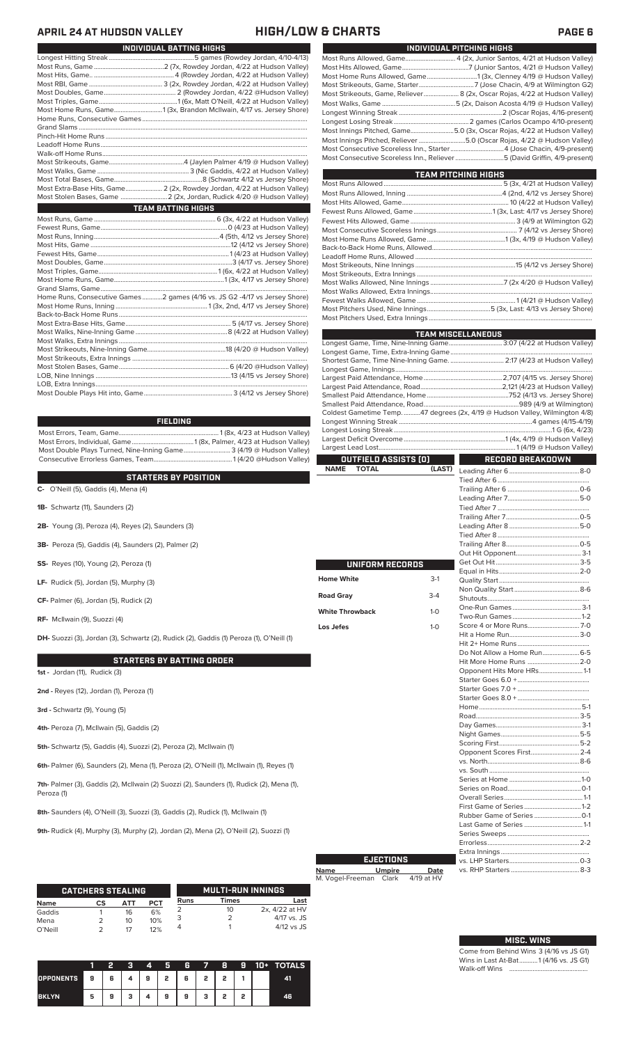## **APRIL 24 AT HUDSON VALLEY HIGH/LOW & CHARTS PAGE 6**

| INDIVIDUAL BATTING HIGHS |                                                                             |  |  |  |  |  |  |  |  |
|--------------------------|-----------------------------------------------------------------------------|--|--|--|--|--|--|--|--|
|                          |                                                                             |  |  |  |  |  |  |  |  |
|                          |                                                                             |  |  |  |  |  |  |  |  |
|                          |                                                                             |  |  |  |  |  |  |  |  |
|                          |                                                                             |  |  |  |  |  |  |  |  |
|                          |                                                                             |  |  |  |  |  |  |  |  |
|                          |                                                                             |  |  |  |  |  |  |  |  |
|                          | Most Home Runs, Game1 (3x, Brandon McIlwain, 4/17 vs. Jersey Shore)         |  |  |  |  |  |  |  |  |
|                          |                                                                             |  |  |  |  |  |  |  |  |
|                          |                                                                             |  |  |  |  |  |  |  |  |
|                          |                                                                             |  |  |  |  |  |  |  |  |
|                          |                                                                             |  |  |  |  |  |  |  |  |
|                          |                                                                             |  |  |  |  |  |  |  |  |
|                          |                                                                             |  |  |  |  |  |  |  |  |
|                          |                                                                             |  |  |  |  |  |  |  |  |
|                          |                                                                             |  |  |  |  |  |  |  |  |
|                          | Most Extra-Base Hits, Game 2 (2x, Rowdey Jordan, 4/22 at Hudson Valley)     |  |  |  |  |  |  |  |  |
|                          |                                                                             |  |  |  |  |  |  |  |  |
|                          | <b>TEAM BATTING HIGHS</b>                                                   |  |  |  |  |  |  |  |  |
|                          |                                                                             |  |  |  |  |  |  |  |  |
|                          |                                                                             |  |  |  |  |  |  |  |  |
|                          |                                                                             |  |  |  |  |  |  |  |  |
|                          |                                                                             |  |  |  |  |  |  |  |  |
|                          |                                                                             |  |  |  |  |  |  |  |  |
|                          |                                                                             |  |  |  |  |  |  |  |  |
|                          |                                                                             |  |  |  |  |  |  |  |  |
|                          |                                                                             |  |  |  |  |  |  |  |  |
|                          |                                                                             |  |  |  |  |  |  |  |  |
|                          | Home Runs, Consecutive Games 2 games (4/16 vs. JS G2 -4/17 vs Jersey Shore) |  |  |  |  |  |  |  |  |
|                          |                                                                             |  |  |  |  |  |  |  |  |
|                          |                                                                             |  |  |  |  |  |  |  |  |
|                          |                                                                             |  |  |  |  |  |  |  |  |
|                          |                                                                             |  |  |  |  |  |  |  |  |
|                          |                                                                             |  |  |  |  |  |  |  |  |
|                          |                                                                             |  |  |  |  |  |  |  |  |
|                          |                                                                             |  |  |  |  |  |  |  |  |
|                          |                                                                             |  |  |  |  |  |  |  |  |
|                          |                                                                             |  |  |  |  |  |  |  |  |
|                          |                                                                             |  |  |  |  |  |  |  |  |
|                          |                                                                             |  |  |  |  |  |  |  |  |

### **FIELDING**

Most Errors, Team, Game............................................................ 1 (8x, 4/23 at Hudson Valley) Most Errors, Individual, Game.....................................1 (8x, Palmer, 4/23 at Hudson Valley) Most Double Plays Turned, Nine-Inning Game............................ 3 (4/19 @ Hudson Valley) Consecutive Errorless Games, Team...

### **STARTERS BY POSITION**

**C-** O'Neill (5), Gaddis (4), Mena (4)

**1B-** Schwartz (11), Saunders (2)

**2B-** Young (3), Peroza (4), Reyes (2), Saunders (3)

**3B-** Peroza (5), Gaddis (4), Saunders (2), Palmer (2)

**SS-** Reyes (10), Young (2), Peroza (1)

**LF-** Rudick (5), Jordan (5), Murphy (3)

**CF-** Palmer (6), Jordan (5), Rudick (2)

**RF-** McIlwain (9), Suozzi (4)

**DH-** Suozzi (3), Jordan (3), Schwartz (2), Rudick (2), Gaddis (1) Peroza (1), O'Neill (1)

### **STARTERS BY BATTING ORDER**

**1st -** Jordan (11), Rudick (3)

**2nd -** Reyes (12), Jordan (1), Peroza (1)

**3rd -** Schwartz (9), Young (5)

**4th-** Peroza (7), McIlwain (5), Gaddis (2)

**5th-** Schwartz (5), Gaddis (4), Suozzi (2), Peroza (2), McIlwain (1)

**6th-** Palmer (6), Saunders (2), Mena (1), Peroza (2), O'Neill (1), McIlwain (1), Reyes (1)

**7th-** Palmer (3), Gaddis (2), McIlwain (2) Suozzi (2), Saunders (1), Rudick (2), Mena (1), Peroza (1)

**8th-** Saunders (4), O'Neill (3), Suozzi (3), Gaddis (2), Rudick (1), McIlwain (1)

**9th-** Rudick (4), Murphy (3), Murphy (2), Jordan (2), Mena (2), O'Neill (2), Suozzi (1)

|             | <b>CATCHERS STEALING</b> |     |            |      | <b>MULTI-RUN INNINGS</b> |                |
|-------------|--------------------------|-----|------------|------|--------------------------|----------------|
| <b>Name</b> | СS                       | АТТ | <b>PCT</b> | Runs | <b>Times</b>             | Last           |
| Gaddis      |                          | 16  | 6%         |      | 10                       | 2x, 4/22 at HV |
| Mena        |                          | 10  | 10%        |      |                          | $4/17$ vs. JS  |
| O'Neill     |                          | 17  | 12%        |      |                          | $4/12$ vs JS   |

|              |   |                     | v. | 4 | ы | 6 | $\blacksquare$    | я | 9 | 10+ 1 | <b>TOTALS</b> |
|--------------|---|---------------------|----|---|---|---|-------------------|---|---|-------|---------------|
| OPPONENTS 9  |   | $\sim$ 1 6 1 $\sim$ |    |   |   |   | 4   9   2   6   2 | , |   |       |               |
| <b>BKLYN</b> | 5 | 9                   |    | 4 | 9 | 9 | з                 | , | o |       | 46            |

| INDIVIDUAL PITCHING HIGHS                                                  |
|----------------------------------------------------------------------------|
| Most Runs Allowed, Game 4 (2x, Junior Santos, 4/21 at Hudson Valley)       |
|                                                                            |
|                                                                            |
|                                                                            |
| Most Strikeouts, Game, Reliever 8 (2x, Oscar Rojas, 4/22 at Hudson Valley) |
|                                                                            |
|                                                                            |
|                                                                            |
| Most Innings Pitched, Game5.0 (3x, Oscar Rojas, 4/22 at Hudson Valley)     |
| Most Innings Pitched, Reliever 5.0 (Oscar Rojas, 4/22 @ Hudson Valley)     |
| Most Consecutive Scoreless Inn., Starter4 (Jose Chacin, 4/9-present)       |
| Most Consecutive Scoreless Inn., Reliever 5 (David Griffin, 4/9-present)   |
|                                                                            |

| <b>TEAM PITCHING HIGHS</b> |  |
|----------------------------|--|
|                            |  |
|                            |  |
|                            |  |
|                            |  |
|                            |  |
|                            |  |
|                            |  |
|                            |  |
|                            |  |
|                            |  |
|                            |  |
|                            |  |
|                            |  |
|                            |  |
|                            |  |
|                            |  |

|                             |         | <b>TEAM MISCELLANEOUS</b>                                                    |  |
|-----------------------------|---------|------------------------------------------------------------------------------|--|
|                             |         | Longest Game, Time, Nine-Inning Game 3:07 (4/22 at Hudson Valley)            |  |
|                             |         |                                                                              |  |
|                             |         | Shortest Game, Time Nine-Inning Game.  2:17 (4/23 at Hudson Valley)          |  |
|                             |         |                                                                              |  |
|                             |         |                                                                              |  |
|                             |         |                                                                              |  |
|                             |         |                                                                              |  |
|                             |         | Coldest Gametime Temp. 47 degrees (2x, 4/19 @ Hudson Valley, Wilmington 4/8) |  |
|                             |         |                                                                              |  |
|                             |         |                                                                              |  |
|                             |         |                                                                              |  |
|                             |         |                                                                              |  |
| OUTFIELD ASSISTS (O)        |         | <b>RECORD BREAKDOWN</b>                                                      |  |
| <b>NAME</b><br><b>TOTAL</b> | (LAST)  |                                                                              |  |
|                             |         |                                                                              |  |
|                             |         |                                                                              |  |
|                             |         |                                                                              |  |
|                             |         |                                                                              |  |
|                             |         |                                                                              |  |
|                             |         |                                                                              |  |
|                             |         |                                                                              |  |
|                             |         |                                                                              |  |
|                             |         |                                                                              |  |
| UNIFORM RECORDS             |         |                                                                              |  |
| <b>Home White</b>           | $3-1$   |                                                                              |  |
|                             |         |                                                                              |  |
| Road Gray                   | $3-4$   |                                                                              |  |
|                             |         |                                                                              |  |
| <b>White Throwback</b>      | $1 - 0$ |                                                                              |  |
|                             |         |                                                                              |  |
| Los Jefes                   | $1 - 0$ |                                                                              |  |
|                             |         |                                                                              |  |
|                             |         | Do Not Allow a Home Run 6-5                                                  |  |
|                             |         | Hit More Home Runs 2-0                                                       |  |
|                             |         | Opponent Hits More HRs1-1                                                    |  |
|                             |         |                                                                              |  |
|                             |         |                                                                              |  |
|                             |         |                                                                              |  |
|                             |         |                                                                              |  |
|                             |         |                                                                              |  |
|                             |         |                                                                              |  |
|                             |         |                                                                              |  |
|                             |         |                                                                              |  |
|                             |         | Opponent Scores First 2-4                                                    |  |
|                             |         |                                                                              |  |
|                             |         |                                                                              |  |
|                             |         |                                                                              |  |
|                             |         |                                                                              |  |
|                             |         |                                                                              |  |
|                             |         |                                                                              |  |
|                             |         |                                                                              |  |
|                             |         |                                                                              |  |

# **Name Umpire Date** M. Vogel-Freeman Clark 4/19 at HV **EJECTIONS**

| <b>MISC. WINS</b> |  |
|-------------------|--|

Series Sweeps .................................................

Extra Innings ..................................................... vs. LHP Starters..........................................0-3

Errorless...

vs. RHP Starters.

Come from Behind Wins 3 (4/16 vs JS G1) Wins in Last At-Bat...........1 (4/16 vs. JS G1) Walk-off Wins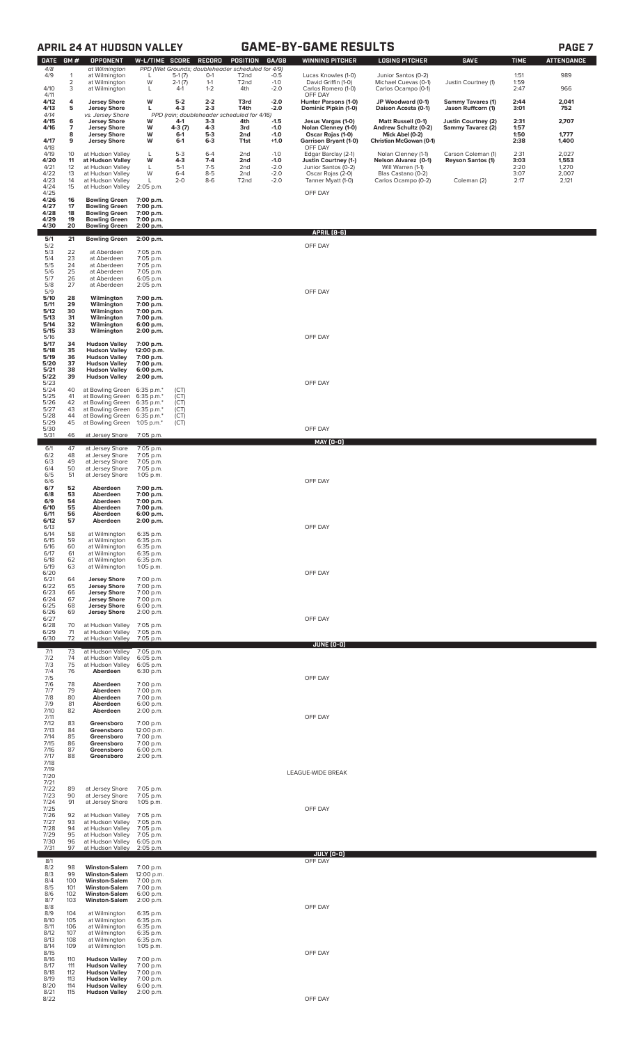# **APRIL 24 AT HUDSON VALLEY GAME-BY-GAME RESULTS PAGE 7**

| п<br>L |  |
|--------|--|
|--------|--|

| <b>DATE</b>  | GM#                 | <b>OPPONENT</b>                                            | W-L/TIME                 | <b>SCORE</b>      | RECORD             | <b>POSITION</b>                                                        | GA/GB            | <b>WINNING PITCHER</b>                            | <b>LOSING PITCHER</b>                       | <b>SAVE</b>                              | <b>TIME</b>  | ATTENDANCE     |
|--------------|---------------------|------------------------------------------------------------|--------------------------|-------------------|--------------------|------------------------------------------------------------------------|------------------|---------------------------------------------------|---------------------------------------------|------------------------------------------|--------------|----------------|
| 4/8<br>4/9   | 1                   | at Wilmington<br>at Wilmington                             | L                        | $5-1(7)$          | $O-1$              | PPD (Wet Grounds; doubleheader scheduled for 4/9)<br>T <sub>2</sub> nd | $-0.5$           | Lucas Knowles (1-0)                               | Junior Santos (0-2)                         |                                          | 1:51         | 989            |
| 4/10         | $\overline{2}$<br>3 | at Wilmington<br>at Wilmington                             | W<br>L                   | $2-1(7)$<br>$4-1$ | $1 - 1$<br>$1 - 2$ | T <sub>2</sub> nd<br>4th                                               | $-1.0$<br>$-2.0$ | David Griffin (1-0)<br>Carlos Romero (1-0)        | Michael Cuevas (0-1)<br>Carlos Ocampo (0-1) | Justin Courtney (1)                      | 1:59<br>2:47 | 966            |
| 4/11<br>4/12 | 4                   | <b>Jersey Shore</b>                                        | W                        | $5-2$             | $2 - 2$            | T3rd                                                                   | $-2.0$           | OFF DAY<br>Hunter Parsons (1-0)                   | JP Woodward (0-1)                           | <b>Sammy Tavares (1)</b>                 | 2:44         | 2,041          |
| 4/13<br>4/14 | 5                   | <b>Jersey Shore</b><br>vs. Jersey Shore                    | L                        | $4-3$             | $2 - 3$            | T4th<br>PPD (rain; doubleheader scheduled for 4/16)                    | $-2.0$           | Dominic Pipkin (1-0)                              | Daison Acosta (0-1)                         | Jason Ruffcorn (1)                       | 3:01         | 752            |
| 4/15<br>4/16 | 6<br>7              | <b>Jersey Shore</b><br><b>Jersey Shore</b>                 | W<br>W                   | 4-1<br>4-3 (7)    | $3-3$<br>4-3       | 4th<br>3rd                                                             | $-1.5$<br>$-1.0$ | Jesus Vargas (1-0)<br>Nolan Clenney (1-0)         | Matt Russell (0-1)<br>Andrew Schultz (0-2)  | Justin Courtney (2)<br>Sammy Tavarez (2) | 2:31<br>1:57 | 2,707          |
| 4/17         | 8<br>9              | <b>Jersey Shore</b><br><b>Jersey Shore</b>                 | W<br>W                   | $6-1$<br>$6-1$    | $5-3$<br>$6 - 3$   | 2nd<br>T1st                                                            | $-1.0$<br>$+1.0$ | Oscar Rojas (1-0)<br><b>Garrison Bryant (1-0)</b> | Mick Abel (0-2)<br>Christian McGowan (0-1)  |                                          | 1:50<br>2:38 | 1,777<br>1,400 |
| 4/18<br>4/19 | 10                  |                                                            | L                        | $5-3$             | $6 - 4$            | 2 <sub>nd</sub>                                                        | $-1.0$           | OFF DAY                                           | Nolan Clenney (1-1)                         | Carson Coleman (1)                       | 2:31         | 2,027          |
| 4/20         | 11                  | at Hudson Valley<br>at Hudson Valley                       | W                        | $4-3$             | $7 - 4$            | 2nd                                                                    | $-1.0$           | Edgar Barclay (2-1)<br>Justin Courtney (1-)       | Nelson Alvarez (0-1)                        | <b>Reyson Santos (1)</b>                 | 3:03         | 1,553          |
| 4/21<br>4/22 | 12<br>13            | at Hudson Valley<br>at Hudson Valley                       | L<br>W                   | $5-1$<br>$6 - 4$  | $7-5$<br>$8 - 5$   | 2 <sub>nd</sub><br>2 <sub>nd</sub>                                     | $-2.0$<br>$-2.0$ | Junior Santos (0-2)<br>Oscar Rojas (2-0)          | Will Warren (1-1)<br>Blas Castano (0-2)     |                                          | 2:20<br>3:07 | 1,270<br>2,007 |
| 4/23<br>4/24 | 14<br>15            | at Hudson Valley<br>at Hudson Valley                       | L<br>2:05 p.m.           | $2 - 0$           | $8-6$              | T <sub>2</sub> nd                                                      | $-2.0$           | Tanner Myatt (1-0)                                | Carlos Ocampo (0-2)                         | Coleman (2)                              | 2:17         | 2,121          |
| 4/25<br>4/26 | 16                  | <b>Bowling Green</b>                                       | 7:00 p.m.                |                   |                    |                                                                        |                  | OFF DAY                                           |                                             |                                          |              |                |
| 4/27<br>4/28 | 17<br>18            | <b>Bowling Green</b><br><b>Bowling Green</b>               | 7:00 p.m.<br>7:00 p.m.   |                   |                    |                                                                        |                  |                                                   |                                             |                                          |              |                |
| 4/29<br>4/30 | 19<br>20            | <b>Bowling Green</b><br><b>Bowling Green</b>               | 7:00 p.m.<br>2:00 p.m.   |                   |                    |                                                                        |                  |                                                   |                                             |                                          |              |                |
| 5/1          | 21                  | <b>Bowling Green</b>                                       | 2:00 p.m.                |                   |                    |                                                                        |                  | <b>APRIL (8-6)</b>                                |                                             |                                          |              |                |
| 5/2<br>5/3   | 22                  | at Aberdeen                                                | 7:05 p.m.                |                   |                    |                                                                        |                  | OFF DAY                                           |                                             |                                          |              |                |
| 5/4<br>5/5   | 23<br>24            | at Aberdeen<br>at Aberdeen                                 | 7:05 p.m.<br>7:05 p.m.   |                   |                    |                                                                        |                  |                                                   |                                             |                                          |              |                |
| 5/6<br>5/7   | 25<br>26            | at Aberdeen<br>at Aberdeen                                 | 7:05 p.m.<br>6:05 p.m.   |                   |                    |                                                                        |                  |                                                   |                                             |                                          |              |                |
| 5/8<br>5/9   | 27                  | at Aberdeen                                                | 2:05 p.m.                |                   |                    |                                                                        |                  | OFF DAY                                           |                                             |                                          |              |                |
| 5/10<br>5/11 | 28<br>29            | Wilmington<br>Wilmington                                   | 7:00 p.m.<br>7:00 p.m.   |                   |                    |                                                                        |                  |                                                   |                                             |                                          |              |                |
| 5/12<br>5/13 | 30<br>31            | Wilmington<br>Wilmington                                   | 7:00 p.m.<br>7:00 p.m.   |                   |                    |                                                                        |                  |                                                   |                                             |                                          |              |                |
| 5/14<br>5/15 | 32<br>33            | Wilmington<br>Wilmington                                   | 6:00 p.m.<br>2:00 p.m.   |                   |                    |                                                                        |                  |                                                   |                                             |                                          |              |                |
| 5/16<br>5/17 | 34                  | <b>Hudson Valley</b>                                       | 7:00 p.m.                |                   |                    |                                                                        |                  | OFF DAY                                           |                                             |                                          |              |                |
| 5/18<br>5/19 | 35<br>36            | <b>Hudson Valley</b><br><b>Hudson Valley</b>               | 12:00 p.m.<br>7:00 p.m.  |                   |                    |                                                                        |                  |                                                   |                                             |                                          |              |                |
| 5/20<br>5/21 | 37<br>38            | <b>Hudson Valley</b><br><b>Hudson Valley</b>               | 7:00 p.m.<br>6:00 p.m.   |                   |                    |                                                                        |                  |                                                   |                                             |                                          |              |                |
| 5/22<br>5/23 | 39                  | <b>Hudson Valley</b>                                       | 2:00 p.m.                |                   |                    |                                                                        |                  | OFF DAY                                           |                                             |                                          |              |                |
| 5/24<br>5/25 | 40<br>41            | at Bowling Green 6:35 p.m.*<br>at Bowling Green 6:35 p.m.* |                          | (CT)<br>(CT)      |                    |                                                                        |                  |                                                   |                                             |                                          |              |                |
| 5/26<br>5/27 | 42<br>43            | at Bowling Green 6:35 p.m.*<br>at Bowling Green 6:35 p.m.* |                          | (CT)<br>(CT)      |                    |                                                                        |                  |                                                   |                                             |                                          |              |                |
| 5/28<br>5/29 | 44<br>45            | at Bowling Green 6:35 p.m.*<br>at Bowling Green 1:05 p.m.* |                          | (CT)<br>(CT)      |                    |                                                                        |                  |                                                   |                                             |                                          |              |                |
| 5/30<br>5/31 | 46                  | at Jersey Shore                                            | 7:05 p.m.                |                   |                    |                                                                        |                  | OFF DAY                                           |                                             |                                          |              |                |
| 6/1          | 47                  | at Jersey Shore                                            | 7:05 p.m.                |                   |                    |                                                                        |                  | MAY (0-0)                                         |                                             |                                          |              |                |
| 6/2<br>6/3   | 48<br>49            | at Jersey Shore<br>at Jersey Shore                         | 7:05 p.m.<br>7:05 p.m.   |                   |                    |                                                                        |                  |                                                   |                                             |                                          |              |                |
| 6/4<br>6/5   | 50<br>51            | at Jersey Shore<br>at Jersey Shore                         | 7:05 p.m.<br>1:05 p.m.   |                   |                    |                                                                        |                  |                                                   |                                             |                                          |              |                |
| 6/6<br>6/7   | 52                  | Aberdeen                                                   | 7:00 p.m.                |                   |                    |                                                                        |                  | OFF DAY                                           |                                             |                                          |              |                |
| 6/8<br>6/9   | 53<br>54            | Aberdeen<br>Aberdeen                                       | 7:00 p.m.<br>7:00 p.m.   |                   |                    |                                                                        |                  |                                                   |                                             |                                          |              |                |
| 6/10<br>6/11 | 55<br>56            | Aberdeen<br>Aberdeen                                       | 7:00 p.m.<br>6:00 p.m.   |                   |                    |                                                                        |                  |                                                   |                                             |                                          |              |                |
| 6/12<br>6/13 | 57                  | Aberdeen                                                   | 2:00 p.m.                |                   |                    |                                                                        |                  | OFF DAY                                           |                                             |                                          |              |                |
| 6/14<br>6/15 | 58<br>59            | at Wilmington<br>at Wilmington                             | 6:35 p.m.<br>6:35 p.m.   |                   |                    |                                                                        |                  |                                                   |                                             |                                          |              |                |
| 6/16<br>6/17 | 60<br>61            | at Wilmington<br>at Wilmington                             | 6:35 p.m.<br>6:35 p.m.   |                   |                    |                                                                        |                  |                                                   |                                             |                                          |              |                |
| 6/18<br>6/19 | 62<br>63            | at Wilmington<br>at Wilmington                             | 6:35 p.m.<br>1:05 p.m.   |                   |                    |                                                                        |                  |                                                   |                                             |                                          |              |                |
| 6/20<br>6/21 | 64                  | <b>Jersey Shore</b>                                        | 7:00 p.m.                |                   |                    |                                                                        |                  | OFF DAY                                           |                                             |                                          |              |                |
| 6/22<br>6/23 | 65<br>66            | <b>Jersey Shore</b><br><b>Jersey Shore</b>                 | 7:00 p.m.<br>7:00 p.m.   |                   |                    |                                                                        |                  |                                                   |                                             |                                          |              |                |
| 6/24<br>6/25 | 67<br>68            | <b>Jersey Shore</b><br><b>Jersey Shore</b>                 | 7:00 p.m.<br>6:00 p.m.   |                   |                    |                                                                        |                  |                                                   |                                             |                                          |              |                |
| 6/26<br>6/27 | 69                  | <b>Jersey Shore</b>                                        | 2:00 p.m.                |                   |                    |                                                                        |                  | OFF DAY                                           |                                             |                                          |              |                |
| 6/28<br>6/29 | 70<br>71            | at Hudson Valley<br>at Hudson Valley                       | 7:05 p.m.<br>7:05 p.m.   |                   |                    |                                                                        |                  |                                                   |                                             |                                          |              |                |
| 6/30         | 72                  | at Hudson Valley                                           | 7:05 p.m.                |                   |                    |                                                                        |                  | JUNE (0-0)                                        |                                             |                                          |              |                |
| 7/1<br>7/2   | 73<br>74            | at Hudson Valley<br>at Hudson Valley                       | 7:05 p.m.<br>$6:05$ p.m. |                   |                    |                                                                        |                  |                                                   |                                             |                                          |              |                |
| 7/3<br>7/4   | 75<br>76            | at Hudson Valley<br>Aberdeen                               | 6:05 p.m.<br>6:30 p.m.   |                   |                    |                                                                        |                  |                                                   |                                             |                                          |              |                |
| 7/5<br>7/6   | 78                  | Aberdeen                                                   | 7:00 p.m.                |                   |                    |                                                                        |                  | OFF DAY                                           |                                             |                                          |              |                |
| 7/7<br>7/8   | 79<br>80            | Aberdeen<br>Aberdeen                                       | 7:00 p.m.<br>7:00 p.m.   |                   |                    |                                                                        |                  |                                                   |                                             |                                          |              |                |
| 7/9<br>7/10  | 81<br>82            | Aberdeen<br>Aberdeen                                       | 6:00 p.m.<br>2:00 p.m.   |                   |                    |                                                                        |                  |                                                   |                                             |                                          |              |                |
| 7/11<br>7/12 | 83                  | Greensboro                                                 | 7:00 p.m.                |                   |                    |                                                                        |                  | OFF DAY                                           |                                             |                                          |              |                |
| 7/13<br>7/14 | 84<br>85            | Greensboro<br>Greensboro                                   | 12:00 p.m.<br>7:00 p.m.  |                   |                    |                                                                        |                  |                                                   |                                             |                                          |              |                |
| 7/15<br>7/16 | 86<br>87            | Greensboro<br>Greensboro                                   | 7:00 p.m.<br>6:00 p.m.   |                   |                    |                                                                        |                  |                                                   |                                             |                                          |              |                |
| 7/17<br>7/18 | 88                  | Greensboro                                                 | 2:00 p.m.                |                   |                    |                                                                        |                  |                                                   |                                             |                                          |              |                |
| 7/19<br>7/20 |                     |                                                            |                          |                   |                    |                                                                        |                  | LEAGUE-WIDE BREAK                                 |                                             |                                          |              |                |
| 7/21<br>7/22 | 89                  | at Jersey Shore                                            | 7:05 p.m.                |                   |                    |                                                                        |                  |                                                   |                                             |                                          |              |                |
| 7/23<br>7/24 | 90<br>91            | at Jersey Shore<br>at Jersey Shore                         | 7:05 p.m.<br>1:05 p.m.   |                   |                    |                                                                        |                  |                                                   |                                             |                                          |              |                |
| 7/25<br>7/26 | 92                  | at Hudson Valley                                           | 7:05 p.m.                |                   |                    |                                                                        |                  | OFF DAY                                           |                                             |                                          |              |                |
| 7/27<br>7/28 | 93<br>94            | at Hudson Valley<br>at Hudson Valley                       | 7:05 p.m.<br>7:05 p.m.   |                   |                    |                                                                        |                  |                                                   |                                             |                                          |              |                |
| 7/29<br>7/30 | 95<br>96            | at Hudson Valley<br>at Hudson Valley                       | 7:05 p.m.<br>$6:05$ p.m. |                   |                    |                                                                        |                  |                                                   |                                             |                                          |              |                |
| 7/31         | 97                  | at Hudson Valley                                           | 2:05 p.m.                |                   |                    |                                                                        |                  | <b>JULY (0-0)</b>                                 |                                             |                                          |              |                |
| 8/1<br>8/2   | 98                  | <b>Winston-Salem</b>                                       | 7:00 p.m.                |                   |                    |                                                                        |                  | OFF DAY                                           |                                             |                                          |              |                |
| 8/3<br>8/4   | 99<br>100           | <b>Winston-Salem</b><br><b>Winston-Salem</b>               | 12:00 p.m.<br>7:00 p.m.  |                   |                    |                                                                        |                  |                                                   |                                             |                                          |              |                |
| 8/5<br>8/6   | 101<br>102          | <b>Winston-Salem</b><br><b>Winston-Salem</b>               | 7:00 p.m.<br>6:00 p.m.   |                   |                    |                                                                        |                  |                                                   |                                             |                                          |              |                |
| 8/7<br>8/8   | 103                 | <b>Winston-Salem</b>                                       | 2:00 p.m.                |                   |                    |                                                                        |                  | OFF DAY                                           |                                             |                                          |              |                |
| 8/9<br>8/10  | 104<br>105          | at Wilmington<br>at Wilmington                             | 6:35 p.m.<br>6:35 p.m.   |                   |                    |                                                                        |                  |                                                   |                                             |                                          |              |                |
| 8/11<br>8/12 | 106<br>107          | at Wilmington<br>at Wilmington                             | 6:35 p.m.<br>6:35 p.m.   |                   |                    |                                                                        |                  |                                                   |                                             |                                          |              |                |
| 8/13<br>8/14 | 108<br>109          | at Wilmington<br>at Wilmington                             | 6:35 p.m.<br>1:05 p.m.   |                   |                    |                                                                        |                  |                                                   |                                             |                                          |              |                |
| 8/15<br>8/16 | 110                 | <b>Hudson Valley</b>                                       | 7:00 p.m.                |                   |                    |                                                                        |                  | OFF DAY                                           |                                             |                                          |              |                |
| 8/17<br>8/18 | 111<br>112          | <b>Hudson Valley</b><br><b>Hudson Valley</b>               | 7:00 p.m.<br>7:00 p.m.   |                   |                    |                                                                        |                  |                                                   |                                             |                                          |              |                |
| 8/19<br>8/20 | 113<br>114          | <b>Hudson Valley</b><br><b>Hudson Valley</b>               | 7:00 p.m.<br>6:00 p.m.   |                   |                    |                                                                        |                  |                                                   |                                             |                                          |              |                |
| 8/22         |                     | 8/21 115 <b>Hudson Valley</b> 2:00 p.m.                    |                          |                   |                    |                                                                        |                  | OFF DAY                                           |                                             |                                          |              |                |